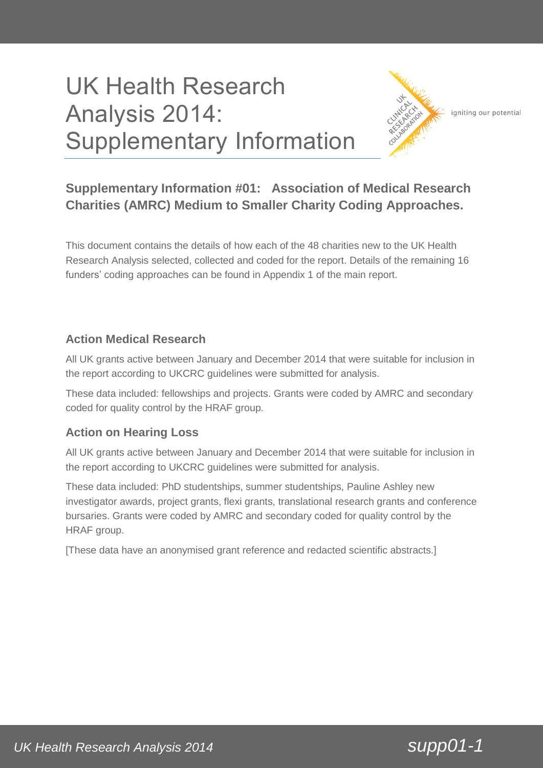# UK Health Research Analysis 2014: Supplementary Information



igniting our potential

## **Supplementary Information #01: Association of Medical Research Charities (AMRC) Medium to Smaller Charity Coding Approaches.**

This document contains the details of how each of the 48 charities new to the UK Health Research Analysis selected, collected and coded for the report. Details of the remaining 16 funders' coding approaches can be found in Appendix 1 of the main report.

## **Action Medical Research**

All UK grants active between January and December 2014 that were suitable for inclusion in the report according to UKCRC guidelines were submitted for analysis.

These data included: fellowships and projects. Grants were coded by AMRC and secondary coded for quality control by the HRAF group.

## **Action on Hearing Loss**

All UK grants active between January and December 2014 that were suitable for inclusion in the report according to UKCRC guidelines were submitted for analysis.

These data included: PhD studentships, summer studentships, Pauline Ashley new investigator awards, project grants, flexi grants, translational research grants and conference bursaries. Grants were coded by AMRC and secondary coded for quality control by the HRAF group.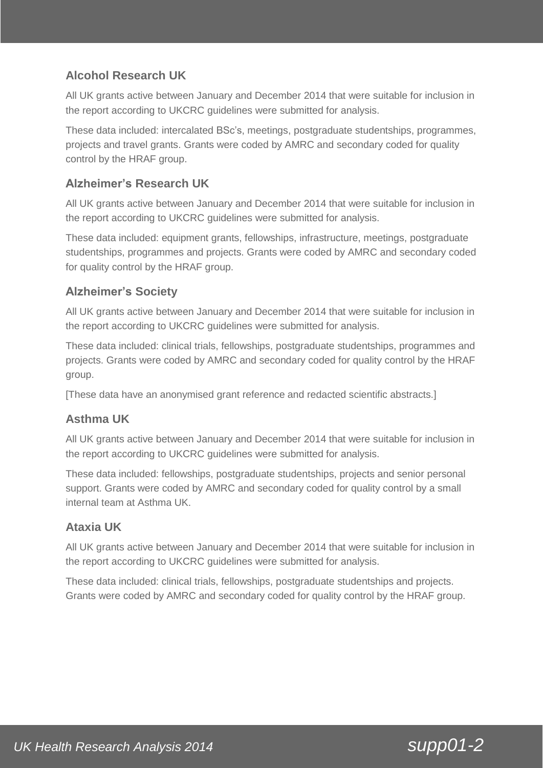## **Alcohol Research UK**

All UK grants active between January and December 2014 that were suitable for inclusion in the report according to UKCRC guidelines were submitted for analysis.

These data included: intercalated BSc's, meetings, postgraduate studentships, programmes, projects and travel grants. Grants were coded by AMRC and secondary coded for quality control by the HRAF group.

## **Alzheimer's Research UK**

All UK grants active between January and December 2014 that were suitable for inclusion in the report according to UKCRC guidelines were submitted for analysis.

These data included: equipment grants, fellowships, infrastructure, meetings, postgraduate studentships, programmes and projects. Grants were coded by AMRC and secondary coded for quality control by the HRAF group.

## **Alzheimer's Society**

All UK grants active between January and December 2014 that were suitable for inclusion in the report according to UKCRC guidelines were submitted for analysis.

These data included: clinical trials, fellowships, postgraduate studentships, programmes and projects. Grants were coded by AMRC and secondary coded for quality control by the HRAF group.

[These data have an anonymised grant reference and redacted scientific abstracts.]

## **Asthma UK**

All UK grants active between January and December 2014 that were suitable for inclusion in the report according to UKCRC guidelines were submitted for analysis.

These data included: fellowships, postgraduate studentships, projects and senior personal support. Grants were coded by AMRC and secondary coded for quality control by a small internal team at Asthma UK.

## **Ataxia UK**

All UK grants active between January and December 2014 that were suitable for inclusion in the report according to UKCRC guidelines were submitted for analysis.

These data included: clinical trials, fellowships, postgraduate studentships and projects. Grants were coded by AMRC and secondary coded for quality control by the HRAF group.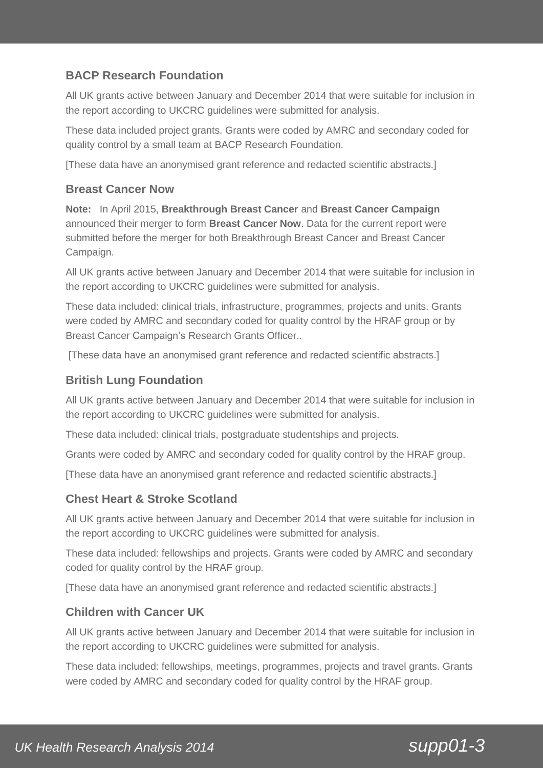## **BACP Research Foundation**

All UK grants active between January and December 2014 that were suitable for inclusion in the report according to UKCRC guidelines were submitted for analysis.

These data included project grants. Grants were coded by AMRC and secondary coded for quality control by a small team at BACP Research Foundation.

[These data have an anonymised grant reference and redacted scientific abstracts.]

#### **Breast Cancer Now**

**Note:** In April 2015, **Breakthrough Breast Cancer** and **Breast Cancer Campaign** announced their merger to form **Breast Cancer Now**. Data for the current report were submitted before the merger for both Breakthrough Breast Cancer and Breast Cancer Campaign.

All UK grants active between January and December 2014 that were suitable for inclusion in the report according to UKCRC guidelines were submitted for analysis.

These data included: clinical trials, infrastructure, programmes, projects and units. Grants were coded by AMRC and secondary coded for quality control by the HRAF group or by Breast Cancer Campaign's Research Grants Officer..

[These data have an anonymised grant reference and redacted scientific abstracts.]

#### **British Lung Foundation**

All UK grants active between January and December 2014 that were suitable for inclusion in the report according to UKCRC guidelines were submitted for analysis.

These data included: clinical trials, postgraduate studentships and projects.

Grants were coded by AMRC and secondary coded for quality control by the HRAF group.

[These data have an anonymised grant reference and redacted scientific abstracts.]

#### **Chest Heart & Stroke Scotland**

All UK grants active between January and December 2014 that were suitable for inclusion in the report according to UKCRC guidelines were submitted for analysis.

These data included: fellowships and projects. Grants were coded by AMRC and secondary coded for quality control by the HRAF group.

[These data have an anonymised grant reference and redacted scientific abstracts.]

#### **Children with Cancer UK**

All UK grants active between January and December 2014 that were suitable for inclusion in the report according to UKCRC guidelines were submitted for analysis.

These data included: fellowships, meetings, programmes, projects and travel grants. Grants were coded by AMRC and secondary coded for quality control by the HRAF group.

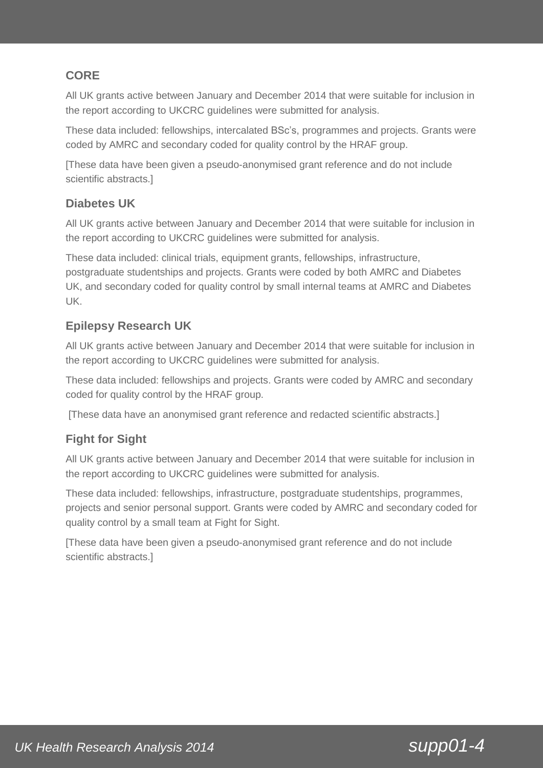## **CORE**

All UK grants active between January and December 2014 that were suitable for inclusion in the report according to UKCRC guidelines were submitted for analysis.

These data included: fellowships, intercalated BSc's, programmes and projects. Grants were coded by AMRC and secondary coded for quality control by the HRAF group.

[These data have been given a pseudo-anonymised grant reference and do not include scientific abstracts.]

## **Diabetes UK**

All UK grants active between January and December 2014 that were suitable for inclusion in the report according to UKCRC guidelines were submitted for analysis.

These data included: clinical trials, equipment grants, fellowships, infrastructure, postgraduate studentships and projects. Grants were coded by both AMRC and Diabetes UK, and secondary coded for quality control by small internal teams at AMRC and Diabetes UK.

## **Epilepsy Research UK**

All UK grants active between January and December 2014 that were suitable for inclusion in the report according to UKCRC guidelines were submitted for analysis.

These data included: fellowships and projects. Grants were coded by AMRC and secondary coded for quality control by the HRAF group.

[These data have an anonymised grant reference and redacted scientific abstracts.]

## **Fight for Sight**

All UK grants active between January and December 2014 that were suitable for inclusion in the report according to UKCRC guidelines were submitted for analysis.

These data included: fellowships, infrastructure, postgraduate studentships, programmes, projects and senior personal support. Grants were coded by AMRC and secondary coded for quality control by a small team at Fight for Sight.

[These data have been given a pseudo-anonymised grant reference and do not include scientific abstracts.]

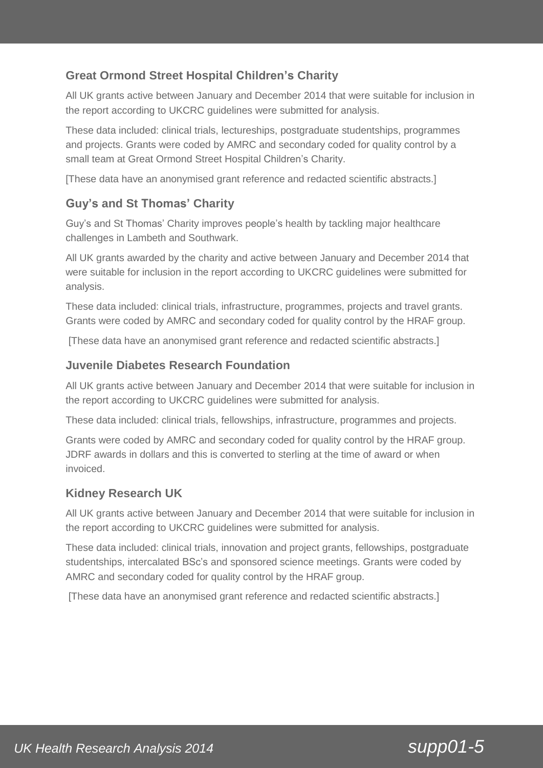## **Great Ormond Street Hospital Children's Charity**

All UK grants active between January and December 2014 that were suitable for inclusion in the report according to UKCRC guidelines were submitted for analysis.

These data included: clinical trials, lectureships, postgraduate studentships, programmes and projects. Grants were coded by AMRC and secondary coded for quality control by a small team at Great Ormond Street Hospital Children's Charity.

[These data have an anonymised grant reference and redacted scientific abstracts.]

#### **Guy's and St Thomas' Charity**

Guy's and St Thomas' Charity improves people's health by tackling major healthcare challenges in Lambeth and Southwark.

All UK grants awarded by the charity and active between January and December 2014 that were suitable for inclusion in the report according to UKCRC guidelines were submitted for analysis.

These data included: clinical trials, infrastructure, programmes, projects and travel grants. Grants were coded by AMRC and secondary coded for quality control by the HRAF group.

[These data have an anonymised grant reference and redacted scientific abstracts.]

#### **Juvenile Diabetes Research Foundation**

All UK grants active between January and December 2014 that were suitable for inclusion in the report according to UKCRC guidelines were submitted for analysis.

These data included: clinical trials, fellowships, infrastructure, programmes and projects.

Grants were coded by AMRC and secondary coded for quality control by the HRAF group. JDRF awards in dollars and this is converted to sterling at the time of award or when invoiced.

#### **Kidney Research UK**

All UK grants active between January and December 2014 that were suitable for inclusion in the report according to UKCRC guidelines were submitted for analysis.

These data included: clinical trials, innovation and project grants, fellowships, postgraduate studentships, intercalated BSc's and sponsored science meetings. Grants were coded by AMRC and secondary coded for quality control by the HRAF group.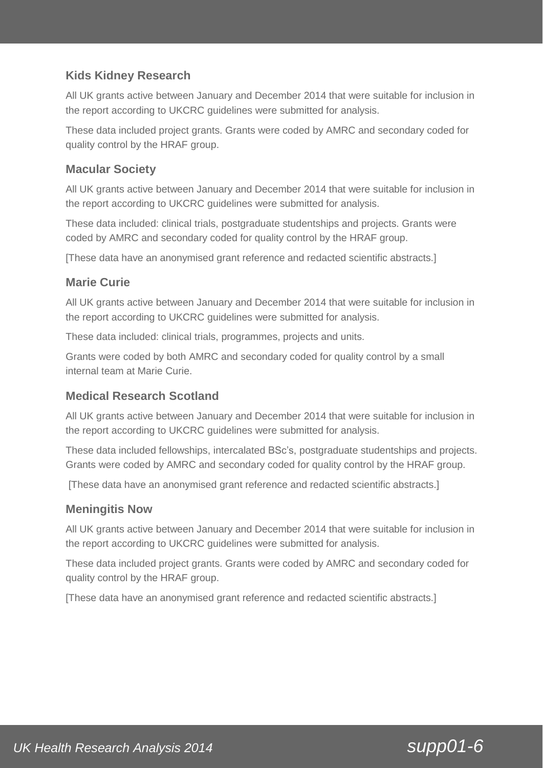## **Kids Kidney Research**

All UK grants active between January and December 2014 that were suitable for inclusion in the report according to UKCRC guidelines were submitted for analysis.

These data included project grants. Grants were coded by AMRC and secondary coded for quality control by the HRAF group.

#### **Macular Society**

All UK grants active between January and December 2014 that were suitable for inclusion in the report according to UKCRC guidelines were submitted for analysis.

These data included: clinical trials, postgraduate studentships and projects. Grants were coded by AMRC and secondary coded for quality control by the HRAF group.

[These data have an anonymised grant reference and redacted scientific abstracts.]

#### **Marie Curie**

All UK grants active between January and December 2014 that were suitable for inclusion in the report according to UKCRC guidelines were submitted for analysis.

These data included: clinical trials, programmes, projects and units.

Grants were coded by both AMRC and secondary coded for quality control by a small internal team at Marie Curie.

## **Medical Research Scotland**

All UK grants active between January and December 2014 that were suitable for inclusion in the report according to UKCRC guidelines were submitted for analysis.

These data included fellowships, intercalated BSc's, postgraduate studentships and projects. Grants were coded by AMRC and secondary coded for quality control by the HRAF group.

[These data have an anonymised grant reference and redacted scientific abstracts.]

#### **Meningitis Now**

All UK grants active between January and December 2014 that were suitable for inclusion in the report according to UKCRC guidelines were submitted for analysis.

These data included project grants. Grants were coded by AMRC and secondary coded for quality control by the HRAF group.

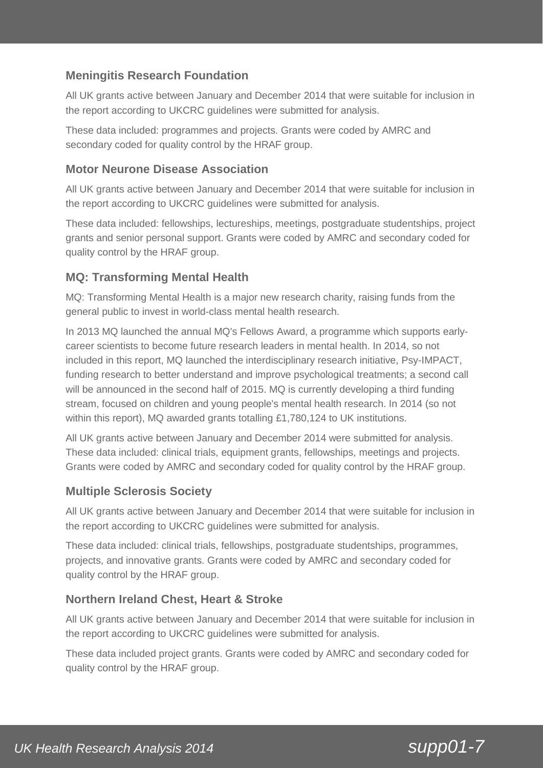## **Meningitis Research Foundation**

All UK grants active between January and December 2014 that were suitable for inclusion in the report according to UKCRC guidelines were submitted for analysis.

These data included: programmes and projects. Grants were coded by AMRC and secondary coded for quality control by the HRAF group.

#### **Motor Neurone Disease Association**

All UK grants active between January and December 2014 that were suitable for inclusion in the report according to UKCRC guidelines were submitted for analysis.

These data included: fellowships, lectureships, meetings, postgraduate studentships, project grants and senior personal support. Grants were coded by AMRC and secondary coded for quality control by the HRAF group.

#### **MQ: Transforming Mental Health**

MQ: Transforming Mental Health is a major new research charity, raising funds from the general public to invest in world-class mental health research.

In 2013 MQ launched the annual MQ's Fellows Award, a programme which supports earlycareer scientists to become future research leaders in mental health. In 2014, so not included in this report, MQ launched the interdisciplinary research initiative, Psy-IMPACT, funding research to better understand and improve psychological treatments; a second call will be announced in the second half of 2015. MQ is currently developing a third funding stream, focused on children and young people's mental health research. In 2014 (so not within this report), MQ awarded grants totalling £1,780,124 to UK institutions.

All UK grants active between January and December 2014 were submitted for analysis. These data included: clinical trials, equipment grants, fellowships, meetings and projects. Grants were coded by AMRC and secondary coded for quality control by the HRAF group.

#### **Multiple Sclerosis Society**

All UK grants active between January and December 2014 that were suitable for inclusion in the report according to UKCRC guidelines were submitted for analysis.

These data included: clinical trials, fellowships, postgraduate studentships, programmes, projects, and innovative grants. Grants were coded by AMRC and secondary coded for quality control by the HRAF group.

## **Northern Ireland Chest, Heart & Stroke**

All UK grants active between January and December 2014 that were suitable for inclusion in the report according to UKCRC guidelines were submitted for analysis.

These data included project grants. Grants were coded by AMRC and secondary coded for quality control by the HRAF group.

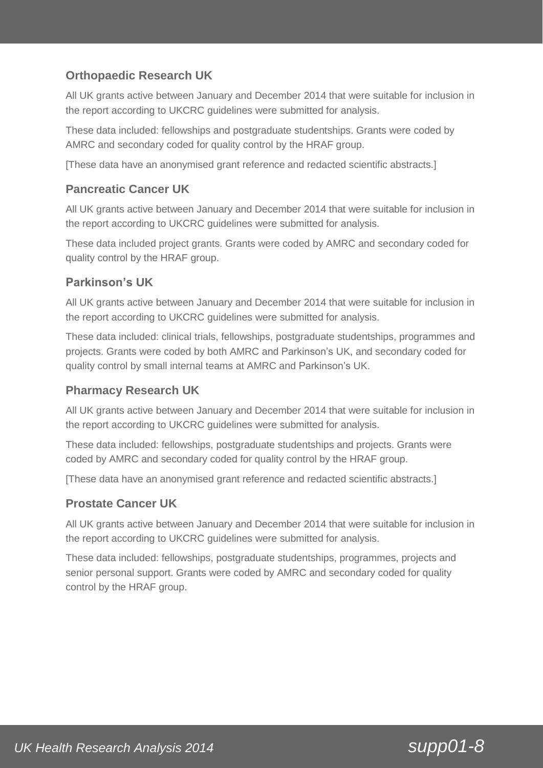## **Orthopaedic Research UK**

All UK grants active between January and December 2014 that were suitable for inclusion in the report according to UKCRC guidelines were submitted for analysis.

These data included: fellowships and postgraduate studentships. Grants were coded by AMRC and secondary coded for quality control by the HRAF group.

[These data have an anonymised grant reference and redacted scientific abstracts.]

#### **Pancreatic Cancer UK**

All UK grants active between January and December 2014 that were suitable for inclusion in the report according to UKCRC guidelines were submitted for analysis.

These data included project grants. Grants were coded by AMRC and secondary coded for quality control by the HRAF group.

## **Parkinson's UK**

All UK grants active between January and December 2014 that were suitable for inclusion in the report according to UKCRC guidelines were submitted for analysis.

These data included: clinical trials, fellowships, postgraduate studentships, programmes and projects. Grants were coded by both AMRC and Parkinson's UK, and secondary coded for quality control by small internal teams at AMRC and Parkinson's UK.

#### **Pharmacy Research UK**

All UK grants active between January and December 2014 that were suitable for inclusion in the report according to UKCRC guidelines were submitted for analysis.

These data included: fellowships, postgraduate studentships and projects. Grants were coded by AMRC and secondary coded for quality control by the HRAF group.

[These data have an anonymised grant reference and redacted scientific abstracts.]

#### **Prostate Cancer UK**

All UK grants active between January and December 2014 that were suitable for inclusion in the report according to UKCRC guidelines were submitted for analysis.

These data included: fellowships, postgraduate studentships, programmes, projects and senior personal support. Grants were coded by AMRC and secondary coded for quality control by the HRAF group.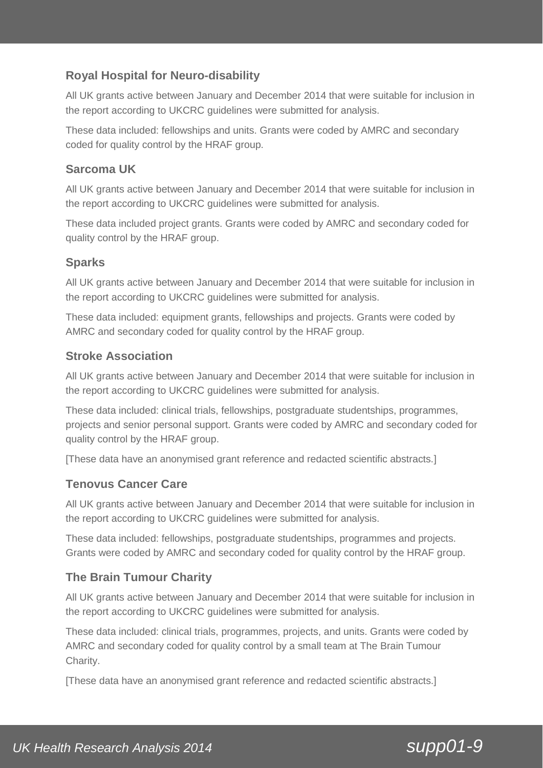## **Royal Hospital for Neuro-disability**

All UK grants active between January and December 2014 that were suitable for inclusion in the report according to UKCRC guidelines were submitted for analysis.

These data included: fellowships and units. Grants were coded by AMRC and secondary coded for quality control by the HRAF group.

## **Sarcoma UK**

All UK grants active between January and December 2014 that were suitable for inclusion in the report according to UKCRC guidelines were submitted for analysis.

These data included project grants. Grants were coded by AMRC and secondary coded for quality control by the HRAF group.

## **Sparks**

All UK grants active between January and December 2014 that were suitable for inclusion in the report according to UKCRC guidelines were submitted for analysis.

These data included: equipment grants, fellowships and projects. Grants were coded by AMRC and secondary coded for quality control by the HRAF group.

## **Stroke Association**

All UK grants active between January and December 2014 that were suitable for inclusion in the report according to UKCRC guidelines were submitted for analysis.

These data included: clinical trials, fellowships, postgraduate studentships, programmes, projects and senior personal support. Grants were coded by AMRC and secondary coded for quality control by the HRAF group.

[These data have an anonymised grant reference and redacted scientific abstracts.]

## **Tenovus Cancer Care**

All UK grants active between January and December 2014 that were suitable for inclusion in the report according to UKCRC guidelines were submitted for analysis.

These data included: fellowships, postgraduate studentships, programmes and projects. Grants were coded by AMRC and secondary coded for quality control by the HRAF group.

## **The Brain Tumour Charity**

All UK grants active between January and December 2014 that were suitable for inclusion in the report according to UKCRC guidelines were submitted for analysis.

These data included: clinical trials, programmes, projects, and units. Grants were coded by AMRC and secondary coded for quality control by a small team at The Brain Tumour Charity.

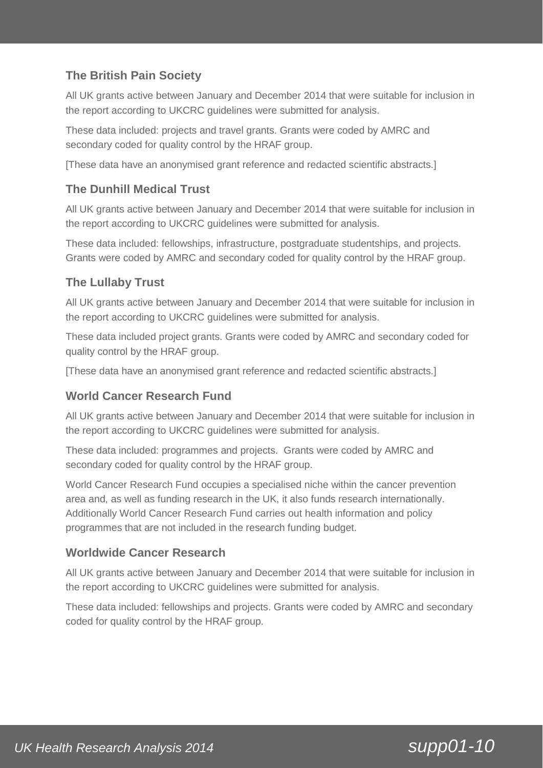## **The British Pain Society**

All UK grants active between January and December 2014 that were suitable for inclusion in the report according to UKCRC guidelines were submitted for analysis.

These data included: projects and travel grants. Grants were coded by AMRC and secondary coded for quality control by the HRAF group.

[These data have an anonymised grant reference and redacted scientific abstracts.]

## **The Dunhill Medical Trust**

All UK grants active between January and December 2014 that were suitable for inclusion in the report according to UKCRC guidelines were submitted for analysis.

These data included: fellowships, infrastructure, postgraduate studentships, and projects. Grants were coded by AMRC and secondary coded for quality control by the HRAF group.

## **The Lullaby Trust**

All UK grants active between January and December 2014 that were suitable for inclusion in the report according to UKCRC guidelines were submitted for analysis.

These data included project grants. Grants were coded by AMRC and secondary coded for quality control by the HRAF group.

[These data have an anonymised grant reference and redacted scientific abstracts.]

#### **World Cancer Research Fund**

All UK grants active between January and December 2014 that were suitable for inclusion in the report according to UKCRC guidelines were submitted for analysis.

These data included: programmes and projects. Grants were coded by AMRC and secondary coded for quality control by the HRAF group.

World Cancer Research Fund occupies a specialised niche within the cancer prevention area and, as well as funding research in the UK, it also funds research internationally. Additionally World Cancer Research Fund carries out health information and policy programmes that are not included in the research funding budget.

#### **Worldwide Cancer Research**

All UK grants active between January and December 2014 that were suitable for inclusion in the report according to UKCRC guidelines were submitted for analysis.

These data included: fellowships and projects. Grants were coded by AMRC and secondary coded for quality control by the HRAF group.